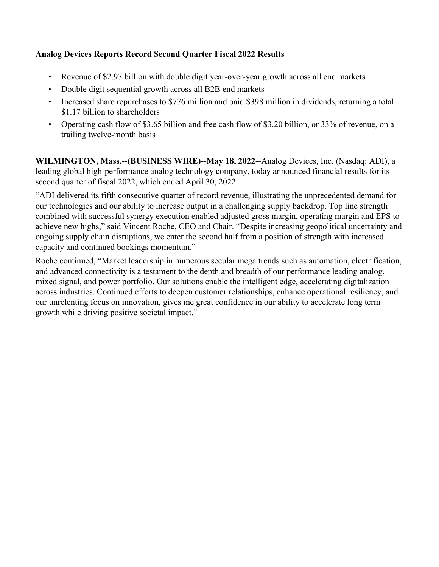## **Analog Devices Reports Record Second Quarter Fiscal 2022 Results**

- Revenue of \$2.97 billion with double digit year-over-year growth across all end markets
- Double digit sequential growth across all B2B end markets
- Increased share repurchases to \$776 million and paid \$398 million in dividends, returning a total \$1.17 billion to shareholders
- Operating cash flow of \$3.65 billion and free cash flow of \$3.20 billion, or 33% of revenue, on a trailing twelve-month basis

**WILMINGTON, Mass.--(BUSINESS WIRE)--May 18, 2022**--Analog Devices, Inc. (Nasdaq: ADI), a leading global high-performance analog technology company, today announced financial results for its second quarter of fiscal 2022, which ended April 30, 2022.

"ADI delivered its fifth consecutive quarter of record revenue, illustrating the unprecedented demand for our technologies and our ability to increase output in a challenging supply backdrop. Top line strength combined with successful synergy execution enabled adjusted gross margin, operating margin and EPS to achieve new highs," said Vincent Roche, CEO and Chair. "Despite increasing geopolitical uncertainty and ongoing supply chain disruptions, we enter the second half from a position of strength with increased capacity and continued bookings momentum."

Roche continued, "Market leadership in numerous secular mega trends such as automation, electrification, and advanced connectivity is a testament to the depth and breadth of our performance leading analog, mixed signal, and power portfolio. Our solutions enable the intelligent edge, accelerating digitalization across industries. Continued efforts to deepen customer relationships, enhance operational resiliency, and our unrelenting focus on innovation, gives me great confidence in our ability to accelerate long term growth while driving positive societal impact."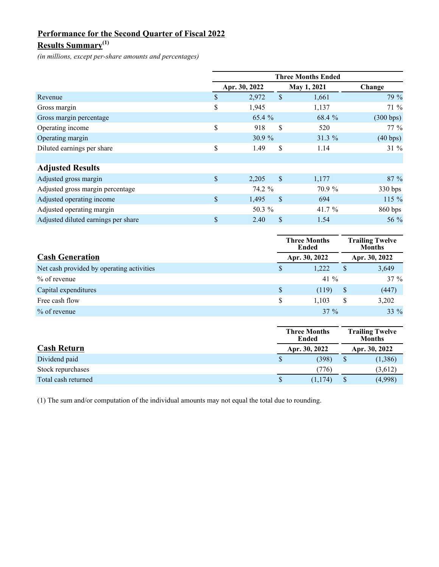# **Performance for the Second Quarter of Fiscal 2022**

**Results Summary(1)**

*(in millions, except per-share amounts and percentages)*

|                                     |               | <b>Three Months Ended</b> |               |             |           |  |  |
|-------------------------------------|---------------|---------------------------|---------------|-------------|-----------|--|--|
|                                     |               | Apr. 30, 2022             |               | May 1, 2021 | Change    |  |  |
| Revenue                             | \$            | 2,972                     | \$            | 1,661       | 79 %      |  |  |
| Gross margin                        | \$            | 1,945                     |               | 1,137       | 71 %      |  |  |
| Gross margin percentage             |               | 65.4 %                    |               | 68.4 %      | (300 bps) |  |  |
| Operating income                    | \$            | 918                       | \$            | 520         | $77\%$    |  |  |
| Operating margin                    |               | 30.9%                     |               | 31.3%       | (40 bps)  |  |  |
| Diluted earnings per share          | \$            | 1.49                      | \$            | 1.14        | 31 %      |  |  |
|                                     |               |                           |               |             |           |  |  |
| <b>Adjusted Results</b>             |               |                           |               |             |           |  |  |
| Adjusted gross margin               | \$            | 2,205                     | $\mathbb{S}$  | 1,177       | 87 %      |  |  |
| Adjusted gross margin percentage    |               | 74.2 %                    |               | 70.9 %      | 330 bps   |  |  |
| Adjusted operating income           | $\mathcal{S}$ | 1,495                     | $\mathcal{S}$ | 694         | 115 %     |  |  |
| Adjusted operating margin           |               | 50.3 %                    |               | 41.7 $%$    | 860 bps   |  |  |
| Adjusted diluted earnings per share | \$            | 2.40                      | \$            | 1.54        | 56 %      |  |  |

|                                           |              | <b>Three Months</b><br>Ended |   |               |  |  |  |
|-------------------------------------------|--------------|------------------------------|---|---------------|--|--|--|
| <b>Cash Generation</b>                    |              | Apr. 30, 2022                |   | Apr. 30, 2022 |  |  |  |
| Net cash provided by operating activities | <b>S</b>     | 1.222                        |   | 3,649         |  |  |  |
| $\%$ of revenue                           |              | 41 $\%$                      |   | $37 \%$       |  |  |  |
| Capital expenditures                      | <sup>S</sup> | (119)                        | S | (447)         |  |  |  |
| Free cash flow                            | S            | 1.103                        |   | 3,202         |  |  |  |
| $\%$ of revenue                           |              | $37 \%$                      |   | $33\%$        |  |  |  |

|                     | <b>Three Months</b><br>Ended |               |  |               |
|---------------------|------------------------------|---------------|--|---------------|
| <b>Cash Return</b>  |                              | Apr. 30, 2022 |  | Apr. 30, 2022 |
| Dividend paid       |                              | (398)         |  | (1,386)       |
| Stock repurchases   |                              | (776)         |  | (3,612)       |
| Total cash returned |                              | (1.174)       |  | (4,998)       |

(1) The sum and/or computation of the individual amounts may not equal the total due to rounding.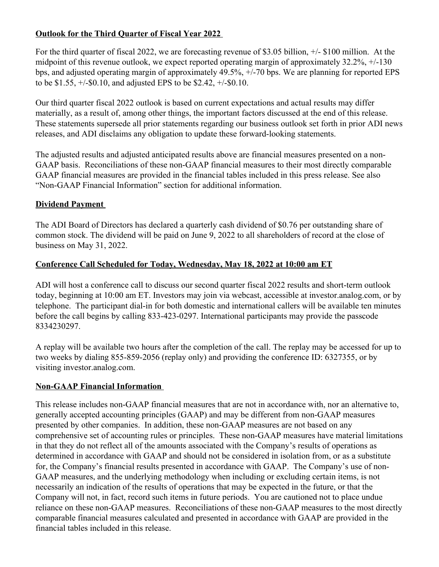## **Outlook for the Third Quarter of Fiscal Year 2022**

For the third quarter of fiscal 2022, we are forecasting revenue of \$3.05 billion, +/- \$100 million. At the midpoint of this revenue outlook, we expect reported operating margin of approximately 32.2%, +/-130 bps, and adjusted operating margin of approximately 49.5%, +/-70 bps. We are planning for reported EPS to be \$1.55, +/-\$0.10, and adjusted EPS to be \$2.42, +/-\$0.10.

Our third quarter fiscal 2022 outlook is based on current expectations and actual results may differ materially, as a result of, among other things, the important factors discussed at the end of this release. These statements supersede all prior statements regarding our business outlook set forth in prior ADI news releases, and ADI disclaims any obligation to update these forward-looking statements.

The adjusted results and adjusted anticipated results above are financial measures presented on a non-GAAP basis. Reconciliations of these non-GAAP financial measures to their most directly comparable GAAP financial measures are provided in the financial tables included in this press release. See also "Non-GAAP Financial Information" section for additional information.

## **Dividend Payment**

The ADI Board of Directors has declared a quarterly cash dividend of \$0.76 per outstanding share of common stock. The dividend will be paid on June 9, 2022 to all shareholders of record at the close of business on May 31, 2022.

## **Conference Call Scheduled for Today, Wednesday, May 18, 2022 at 10:00 am ET**

ADI will host a conference call to discuss our second quarter fiscal 2022 results and short-term outlook today, beginning at 10:00 am ET. Investors may join via webcast, accessible at investor.analog.com, or by telephone. The participant dial-in for both domestic and international callers will be available ten minutes before the call begins by calling 833-423-0297. International participants may provide the passcode 8334230297.

A replay will be available two hours after the completion of the call. The replay may be accessed for up to two weeks by dialing 855-859-2056 (replay only) and providing the conference ID: 6327355, or by visiting investor.analog.com.

## **Non-GAAP Financial Information**

This release includes non-GAAP financial measures that are not in accordance with, nor an alternative to, generally accepted accounting principles (GAAP) and may be different from non-GAAP measures presented by other companies. In addition, these non-GAAP measures are not based on any comprehensive set of accounting rules or principles. These non-GAAP measures have material limitations in that they do not reflect all of the amounts associated with the Company's results of operations as determined in accordance with GAAP and should not be considered in isolation from, or as a substitute for, the Company's financial results presented in accordance with GAAP. The Company's use of non-GAAP measures, and the underlying methodology when including or excluding certain items, is not necessarily an indication of the results of operations that may be expected in the future, or that the Company will not, in fact, record such items in future periods. You are cautioned not to place undue reliance on these non-GAAP measures. Reconciliations of these non-GAAP measures to the most directly comparable financial measures calculated and presented in accordance with GAAP are provided in the financial tables included in this release.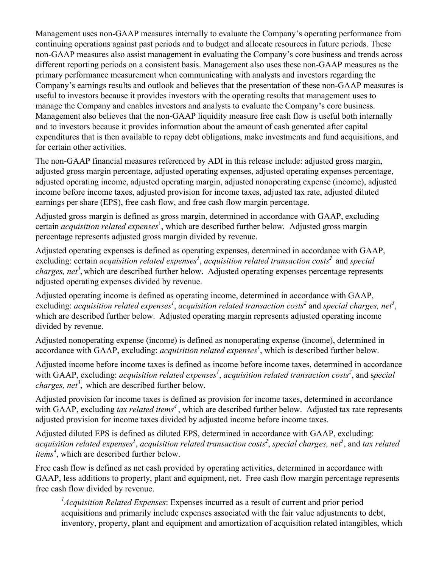Management uses non-GAAP measures internally to evaluate the Company's operating performance from continuing operations against past periods and to budget and allocate resources in future periods. These non-GAAP measures also assist management in evaluating the Company's core business and trends across different reporting periods on a consistent basis. Management also uses these non-GAAP measures as the primary performance measurement when communicating with analysts and investors regarding the Company's earnings results and outlook and believes that the presentation of these non-GAAP measures is useful to investors because it provides investors with the operating results that management uses to manage the Company and enables investors and analysts to evaluate the Company's core business. Management also believes that the non-GAAP liquidity measure free cash flow is useful both internally and to investors because it provides information about the amount of cash generated after capital expenditures that is then available to repay debt obligations, make investments and fund acquisitions, and for certain other activities.

The non-GAAP financial measures referenced by ADI in this release include: adjusted gross margin, adjusted gross margin percentage, adjusted operating expenses, adjusted operating expenses percentage, adjusted operating income, adjusted operating margin, adjusted nonoperating expense (income), adjusted income before income taxes, adjusted provision for income taxes, adjusted tax rate, adjusted diluted earnings per share (EPS), free cash flow, and free cash flow margin percentage.

Adjusted gross margin is defined as gross margin, determined in accordance with GAAP, excluding certain *acquisition related expenses*<sup>1</sup>, which are described further below. Adjusted gross margin percentage represents adjusted gross margin divided by revenue.

Adjusted operating expenses is defined as operating expenses, determined in accordance with GAAP, excluding: certain *acquisition related expenses<sup>1</sup>, acquisition related transaction costs<sup>2</sup> and <i>special charges, net<sup>3</sup>* , which are described further below. Adjusted operating expenses percentage represents adjusted operating expenses divided by revenue.

Adjusted operating income is defined as operating income, determined in accordance with GAAP, excluding: acquisition related expenses<sup>1</sup>, acquisition related transaction costs<sup>2</sup> and special charges, net<sup>3</sup>, which are described further below. Adjusted operating margin represents adjusted operating income divided by revenue.

Adjusted nonoperating expense (income) is defined as nonoperating expense (income), determined in accordance with GAAP, excluding: *acquisition related expenses<sup>1</sup>* , which is described further below.

Adjusted income before income taxes is defined as income before income taxes, determined in accordance with GAAP, excluding: *acquisition related expenses<sup>1</sup>* , *acquisition related transaction costs<sup>2</sup>* , and s*pecial charges, net<sup>3</sup>* , which are described further below.

Adjusted provision for income taxes is defined as provision for income taxes, determined in accordance with GAAP, excluding *tax related items<sup>4</sup>*, which are described further below. Adjusted tax rate represents adjusted provision for income taxes divided by adjusted income before income taxes.

Adjusted diluted EPS is defined as diluted EPS, determined in accordance with GAAP, excluding: *acquisition related expenses<sup>1</sup>* , *acquisition related transaction costs<sup>2</sup>* , *special charges, net<sup>3</sup>* , and *tax related items<sup>4</sup>* , which are described further below.

Free cash flow is defined as net cash provided by operating activities, determined in accordance with GAAP, less additions to property, plant and equipment, net. Free cash flow margin percentage represents free cash flow divided by revenue.

*<sup>1</sup>Acquisition Related Expenses*: Expenses incurred as a result of current and prior period acquisitions and primarily include expenses associated with the fair value adjustments to debt, inventory, property, plant and equipment and amortization of acquisition related intangibles, which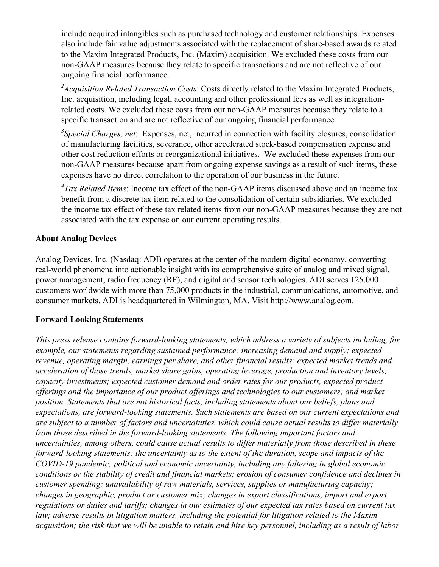include acquired intangibles such as purchased technology and customer relationships. Expenses also include fair value adjustments associated with the replacement of share-based awards related to the Maxim Integrated Products, Inc. (Maxim) acquisition. We excluded these costs from our non-GAAP measures because they relate to specific transactions and are not reflective of our ongoing financial performance.

*<sup>2</sup>Acquisition Related Transaction Costs*: Costs directly related to the Maxim Integrated Products, Inc. acquisition, including legal, accounting and other professional fees as well as integrationrelated costs. We excluded these costs from our non-GAAP measures because they relate to a specific transaction and are not reflective of our ongoing financial performance.

*3 Special Charges, net*: Expenses, net, incurred in connection with facility closures, consolidation of manufacturing facilities, severance, other accelerated stock-based compensation expense and other cost reduction efforts or reorganizational initiatives. We excluded these expenses from our non-GAAP measures because apart from ongoing expense savings as a result of such items, these expenses have no direct correlation to the operation of our business in the future.

*4 Tax Related Items*: Income tax effect of the non-GAAP items discussed above and an income tax benefit from a discrete tax item related to the consolidation of certain subsidiaries. We excluded the income tax effect of these tax related items from our non-GAAP measures because they are not associated with the tax expense on our current operating results.

## **About Analog Devices**

Analog Devices, Inc. (Nasdaq: ADI) operates at the center of the modern digital economy, converting real-world phenomena into actionable insight with its comprehensive suite of analog and mixed signal, power management, radio frequency (RF), and digital and sensor technologies. ADI serves 125,000 customers worldwide with more than 75,000 products in the industrial, communications, automotive, and consumer markets. ADI is headquartered in Wilmington, MA. Visit http://www.analog.com.

### **Forward Looking Statements**

*This press release contains forward-looking statements, which address a variety of subjects including, for example, our statements regarding sustained performance; increasing demand and supply; expected revenue, operating margin, earnings per share, and other financial results; expected market trends and acceleration of those trends, market share gains, operating leverage, production and inventory levels; capacity investments; expected customer demand and order rates for our products, expected product offerings and the importance of our product offerings and technologies to our customers; and market position. Statements that are not historical facts, including statements about our beliefs, plans and expectations, are forward-looking statements. Such statements are based on our current expectations and are subject to a number of factors and uncertainties, which could cause actual results to differ materially from those described in the forward-looking statements. The following important factors and uncertainties, among others, could cause actual results to differ materially from those described in these forward-looking statements: the uncertainty as to the extent of the duration, scope and impacts of the COVID-19 pandemic; political and economic uncertainty, including any faltering in global economic conditions or the stability of credit and financial markets; erosion of consumer confidence and declines in customer spending; unavailability of raw materials, services, supplies or manufacturing capacity; changes in geographic, product or customer mix; changes in export classifications, import and export regulations or duties and tariffs; changes in our estimates of our expected tax rates based on current tax law; adverse results in litigation matters, including the potential for litigation related to the Maxim acquisition; the risk that we will be unable to retain and hire key personnel, including as a result of labor*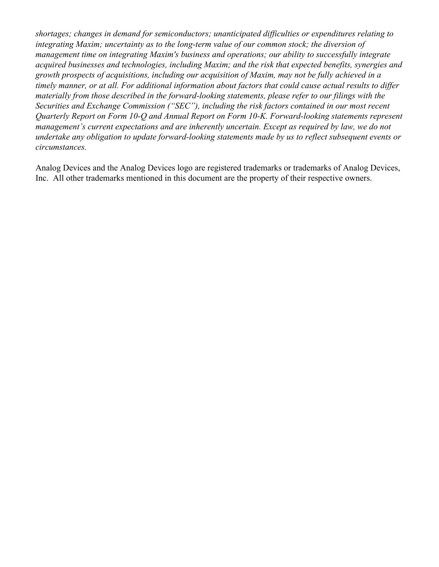*shortages; changes in demand for semiconductors; unanticipated difficulties or expenditures relating to integrating Maxim; uncertainty as to the long-term value of our common stock; the diversion of management time on integrating Maxim's business and operations; our ability to successfully integrate acquired businesses and technologies, including Maxim; and the risk that expected benefits, synergies and growth prospects of acquisitions, including our acquisition of Maxim, may not be fully achieved in a timely manner, or at all. For additional information about factors that could cause actual results to differ materially from those described in the forward-looking statements, please refer to our filings with the Securities and Exchange Commission ("SEC"), including the risk factors contained in our most recent Quarterly Report on Form 10-Q and Annual Report on Form 10-K. Forward-looking statements represent management's current expectations and are inherently uncertain. Except as required by law, we do not undertake any obligation to update forward-looking statements made by us to reflect subsequent events or circumstances.*

Analog Devices and the Analog Devices logo are registered trademarks or trademarks of Analog Devices, Inc. All other trademarks mentioned in this document are the property of their respective owners.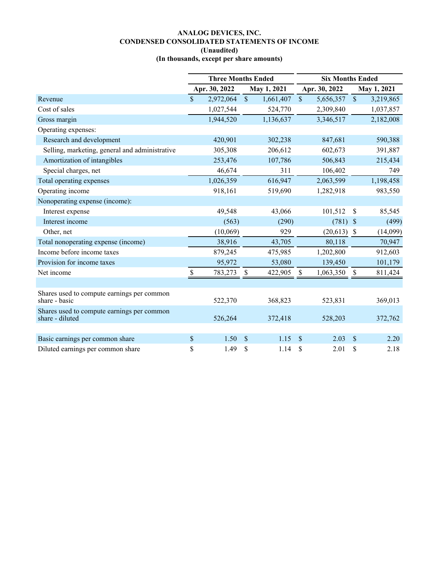#### **ANALOG DEVICES, INC. CONDENSED CONSOLIDATED STATEMENTS OF INCOME (Unaudited) (In thousands, except per share amounts)**

|                                                               | <b>Three Months Ended</b> |               |               | <b>Six Months Ended</b> |               |               |               |           |
|---------------------------------------------------------------|---------------------------|---------------|---------------|-------------------------|---------------|---------------|---------------|-----------|
|                                                               |                           | Apr. 30, 2022 |               | May 1, 2021             |               | Apr. 30, 2022 | May 1, 2021   |           |
| Revenue                                                       | $\mathbf{\hat{S}}$        | 2,972,064     | $\mathbb{S}$  | 1,661,407               | $\sqrt{\ }$   | 5,656,357     | $\mathsf{\$}$ | 3,219,865 |
| Cost of sales                                                 |                           | 1,027,544     |               | 524,770                 |               | 2,309,840     |               | 1,037,857 |
| Gross margin                                                  |                           | 1,944,520     |               | 1,136,637               |               | 3,346,517     |               | 2,182,008 |
| Operating expenses:                                           |                           |               |               |                         |               |               |               |           |
| Research and development                                      |                           | 420,901       |               | 302,238                 |               | 847,681       |               | 590,388   |
| Selling, marketing, general and administrative                |                           | 305,308       |               | 206,612                 |               | 602,673       |               | 391,887   |
| Amortization of intangibles                                   |                           | 253,476       |               | 107,786                 |               | 506,843       |               | 215,434   |
| Special charges, net                                          |                           | 46,674        |               | 311                     |               | 106,402       |               | 749       |
| Total operating expenses                                      |                           | 1,026,359     |               | 616,947                 |               | 2,063,599     |               | 1,198,458 |
| Operating income                                              |                           | 918,161       |               | 519,690                 |               | 1,282,918     |               | 983,550   |
| Nonoperating expense (income):                                |                           |               |               |                         |               |               |               |           |
| Interest expense                                              |                           | 49,548        |               | 43,066                  |               | 101,512       | \$.           | 85,545    |
| Interest income                                               |                           | (563)         |               | (290)                   |               | $(781)$ \$    |               | (499)     |
| Other, net                                                    |                           | (10,069)      |               | 929                     |               | (20,613)      | $\mathcal{S}$ | (14,099)  |
| Total nonoperating expense (income)                           |                           | 38,916        |               | 43,705                  |               | 80,118        |               | 70,947    |
| Income before income taxes                                    |                           | 879,245       |               | 475,985                 |               | 1,202,800     |               | 912,603   |
| Provision for income taxes                                    |                           | 95,972        |               | 53,080                  |               | 139,450       |               | 101,179   |
| Net income                                                    | \$                        | 783,273       | \$            | 422,905                 | $\mathbb{S}$  | 1,063,350     | <sup>\$</sup> | 811,424   |
|                                                               |                           |               |               |                         |               |               |               |           |
| Shares used to compute earnings per common<br>share - basic   |                           | 522,370       |               | 368,823                 |               | 523,831       |               | 369,013   |
| Shares used to compute earnings per common<br>share - diluted |                           | 526,264       |               | 372,418                 |               | 528,203       |               | 372,762   |
|                                                               |                           |               |               |                         |               |               |               |           |
| Basic earnings per common share                               | \$                        | 1.50          | $\mathcal{S}$ | 1.15                    | $\mathcal{S}$ | 2.03          | $\mathbb{S}$  | 2.20      |
| Diluted earnings per common share                             | \$                        | 1.49          | \$            | 1.14                    | \$            | 2.01          | \$            | 2.18      |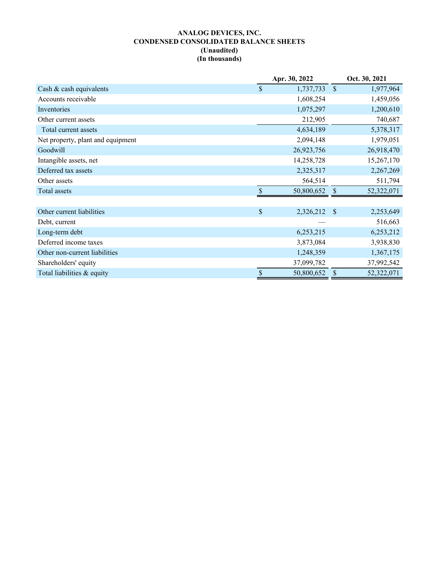#### **ANALOG DEVICES, INC. CONDENSED CONSOLIDATED BALANCE SHEETS (Unaudited) (In thousands)**

|                                   | Apr. 30, 2022    |               | Oct. 30, 2021 |
|-----------------------------------|------------------|---------------|---------------|
| Cash & cash equivalents           | \$<br>1,737,733  | $\mathbb{S}$  | 1,977,964     |
| Accounts receivable               | 1,608,254        |               | 1,459,056     |
| Inventories                       | 1,075,297        |               | 1,200,610     |
| Other current assets              | 212,905          |               | 740,687       |
| Total current assets              | 4,634,189        |               | 5,378,317     |
| Net property, plant and equipment | 2,094,148        |               | 1,979,051     |
| Goodwill                          | 26,923,756       |               | 26,918,470    |
| Intangible assets, net            | 14,258,728       |               | 15,267,170    |
| Deferred tax assets               | 2,325,317        |               | 2,267,269     |
| Other assets                      | 564,514          |               | 511,794       |
| Total assets                      | 50,800,652       |               | 52,322,071    |
|                                   |                  |               |               |
| Other current liabilities         | \$<br>2,326,212  | $\mathcal{S}$ | 2,253,649     |
| Debt, current                     |                  |               | 516,663       |
| Long-term debt                    | 6,253,215        |               | 6,253,212     |
| Deferred income taxes             | 3,873,084        |               | 3,938,830     |
| Other non-current liabilities     | 1,248,359        |               | 1,367,175     |
| Shareholders' equity              | 37,099,782       |               | 37,992,542    |
| Total liabilities & equity        | \$<br>50,800,652 | \$            | 52,322,071    |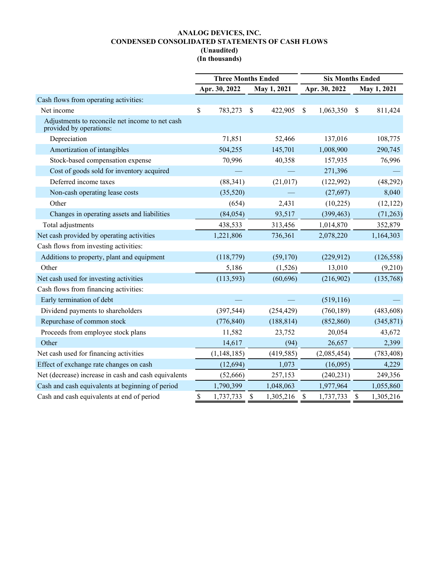### **ANALOG DEVICES, INC. CONDENSED CONSOLIDATED STATEMENTS OF CASH FLOWS (Unaudited)**

| (In thousands) |  |
|----------------|--|
|                |  |

|                                                                            | <b>Three Months Ended</b> |               |              |             | <b>Six Months Ended</b> |               |               |             |
|----------------------------------------------------------------------------|---------------------------|---------------|--------------|-------------|-------------------------|---------------|---------------|-------------|
|                                                                            |                           | Apr. 30, 2022 |              | May 1, 2021 |                         | Apr. 30, 2022 |               | May 1, 2021 |
| Cash flows from operating activities:                                      |                           |               |              |             |                         |               |               |             |
| Net income                                                                 | \$                        | 783,273       | $\mathbb{S}$ | 422,905     | \$                      | 1,063,350     | \$            | 811,424     |
| Adjustments to reconcile net income to net cash<br>provided by operations: |                           |               |              |             |                         |               |               |             |
| Depreciation                                                               |                           | 71,851        |              | 52,466      |                         | 137,016       |               | 108,775     |
| Amortization of intangibles                                                |                           | 504,255       |              | 145,701     |                         | 1,008,900     |               | 290,745     |
| Stock-based compensation expense                                           |                           | 70,996        |              | 40,358      |                         | 157,935       |               | 76,996      |
| Cost of goods sold for inventory acquired                                  |                           |               |              |             |                         | 271,396       |               |             |
| Deferred income taxes                                                      |                           | (88, 341)     |              | (21, 017)   |                         | (122,992)     |               | (48,292)    |
| Non-cash operating lease costs                                             |                           | (35,520)      |              |             |                         | (27,697)      |               | 8,040       |
| Other                                                                      |                           | (654)         |              | 2,431       |                         | (10, 225)     |               | (12, 122)   |
| Changes in operating assets and liabilities                                |                           | (84, 054)     |              | 93,517      |                         | (399, 463)    |               | (71, 263)   |
| Total adjustments                                                          |                           | 438,533       |              | 313,456     |                         | 1,014,870     |               | 352,879     |
| Net cash provided by operating activities                                  |                           | 1,221,806     |              | 736,361     |                         | 2,078,220     |               | 1,164,303   |
| Cash flows from investing activities:                                      |                           |               |              |             |                         |               |               |             |
| Additions to property, plant and equipment                                 |                           | (118,779)     |              | (59,170)    |                         | (229, 912)    |               | (126, 558)  |
| Other                                                                      |                           | 5,186         |              | (1,526)     |                         | 13,010        |               | (9,210)     |
| Net cash used for investing activities                                     |                           | (113, 593)    |              | (60, 696)   |                         | (216,902)     |               | (135,768)   |
| Cash flows from financing activities:                                      |                           |               |              |             |                         |               |               |             |
| Early termination of debt                                                  |                           |               |              |             |                         | (519, 116)    |               |             |
| Dividend payments to shareholders                                          |                           | (397, 544)    |              | (254, 429)  |                         | (760, 189)    |               | (483, 608)  |
| Repurchase of common stock                                                 |                           | (776, 840)    |              | (188, 814)  |                         | (852, 860)    |               | (345, 871)  |
| Proceeds from employee stock plans                                         |                           | 11,582        |              | 23,752      |                         | 20,054        |               | 43,672      |
| Other                                                                      |                           | 14,617        |              | (94)        |                         | 26,657        |               | 2,399       |
| Net cash used for financing activities                                     |                           | (1, 148, 185) |              | (419, 585)  |                         | (2,085,454)   |               | (783, 408)  |
| Effect of exchange rate changes on cash                                    |                           | (12,694)      |              | 1,073       |                         | (16,095)      |               | 4,229       |
| Net (decrease) increase in cash and cash equivalents                       |                           | (52,666)      |              | 257,153     |                         | (240, 231)    |               | 249,356     |
| Cash and cash equivalents at beginning of period                           |                           | 1,790,399     |              | 1,048,063   |                         | 1,977,964     |               | 1,055,860   |
| Cash and cash equivalents at end of period                                 | \$                        | 1,737,733     | \$           | 1,305,216   | \$                      | 1,737,733     | $\mathcal{S}$ | 1,305,216   |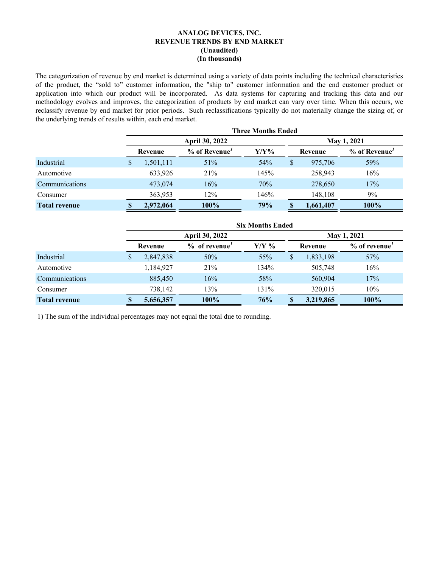#### **ANALOG DEVICES, INC. REVENUE TRENDS BY END MARKET (Unaudited) (In thousands)**

The categorization of revenue by end market is determined using a variety of data points including the technical characteristics of the product, the "sold to" customer information, the "ship to" customer information and the end customer product or application into which our product will be incorporated. As data systems for capturing and tracking this data and our methodology evolves and improves, the categorization of products by end market can vary over time. When this occurs, we reclassify revenue by end market for prior periods. Such reclassifications typically do not materially change the sizing of, or the underlying trends of results within, each end market.

|                      |   | <b>Three Months Ended</b> |                                               |         |    |             |               |  |  |
|----------------------|---|---------------------------|-----------------------------------------------|---------|----|-------------|---------------|--|--|
|                      |   |                           | <b>April 30, 2022</b>                         |         |    | May 1, 2021 |               |  |  |
|                      |   | Revenue                   | $%$ of Revenue <sup><math>\prime</math></sup> | $Y/Y\%$ |    | Revenue     | % of Revenue' |  |  |
| Industrial           | S | ,501,111                  | 51%                                           | 54%     | \$ | 975,706     | 59%           |  |  |
| Automotive           |   | 633,926                   | 21%                                           | 145%    |    | 258,943     | 16%           |  |  |
| Communications       |   | 473,074                   | 16%                                           | 70%     |    | 278,650     | 17%           |  |  |
| Consumer             |   | 363,953                   | 12%                                           | 146%    |    | 148,108     | 9%            |  |  |
| <b>Total revenue</b> |   | 2,972,064                 | $100\%$                                       | 79%     |    | 1,661,407   | 100%          |  |  |

|                      | <b>Six Months Ended</b> |                                          |         |    |           |                |  |  |
|----------------------|-------------------------|------------------------------------------|---------|----|-----------|----------------|--|--|
|                      |                         | <b>April 30, 2022</b>                    |         |    |           | May 1, 2021    |  |  |
|                      | Revenue                 | $%$ of revenue <sup><math>t</math></sup> | $Y/Y$ % |    | Revenue   | $%$ of revenue |  |  |
| Industrial           | 2,847,838               | 50%                                      | 55%     | \$ | 1,833,198 | 57%            |  |  |
| Automotive           | 1,184,927               | 21%                                      | 134%    |    | 505,748   | 16%            |  |  |
| Communications       | 885,450                 | 16%                                      | 58%     |    | 560,904   | 17%            |  |  |
| Consumer             | 738,142                 | 13%                                      | 131%    |    | 320,015   | 10%            |  |  |
| <b>Total revenue</b> | 5,656,357               | $100\%$                                  | 76%     |    | 3,219,865 | $100\%$        |  |  |

1) The sum of the individual percentages may not equal the total due to rounding.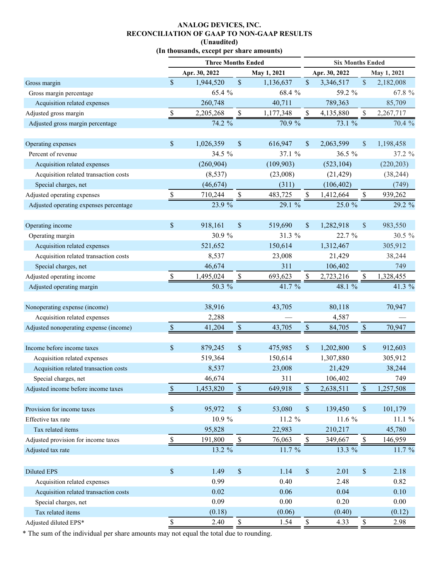#### **ANALOG DEVICES, INC. RECONCILIATION OF GAAP TO NON-GAAP RESULTS (Unaudited) (In thousands, except per share amounts)**

|                                        |                           | <b>Three Months Ended</b> |               |                   | <b>Six Months Ended</b>   |                     |               |             |
|----------------------------------------|---------------------------|---------------------------|---------------|-------------------|---------------------------|---------------------|---------------|-------------|
|                                        |                           | Apr. 30, 2022             |               | May 1, 2021       |                           | Apr. 30, 2022       |               | May 1, 2021 |
| Gross margin                           | $\mathbb{S}$              | 1,944,520                 | $\mathcal{S}$ | 1,136,637         | \$                        | 3,346,517           | $\sqrt{\ }$   | 2,182,008   |
| Gross margin percentage                |                           | 65.4 %                    |               | 68.4 %            |                           | 59.2 %              |               | 67.8 %      |
| Acquisition related expenses           |                           | 260,748                   |               | 40,711            |                           | 789,363             |               | 85,709      |
| Adjusted gross margin                  | $\boldsymbol{\mathsf{S}}$ | 2,205,268                 | $\mathbb{S}$  | 1,177,348         | $\boldsymbol{\mathsf{S}}$ | 4,135,880           | <sup>\$</sup> | 2,267,717   |
| Adjusted gross margin percentage       |                           | 74.2 %                    |               | 70.9 %            |                           | 73.1 %              |               | 70.4 %      |
|                                        |                           |                           |               |                   |                           |                     |               |             |
| Operating expenses                     | $\mathbb S$               | 1,026,359                 | \$            | 616,947           | \$                        | 2,063,599           | $\mathbb{S}$  | 1,198,458   |
| Percent of revenue                     |                           | 34.5 %                    |               | 37.1 %            |                           | 36.5 %              |               | 37.2 %      |
| Acquisition related expenses           |                           | (260, 904)                |               | (109, 903)        |                           | (523, 104)          |               | (220, 203)  |
| Acquisition related transaction costs  |                           | (8, 537)                  |               | (23,008)          |                           | (21, 429)           |               | (38, 244)   |
| Special charges, net                   |                           | (46, 674)                 |               | (311)             |                           | (106, 402)          |               | (749)       |
| Adjusted operating expenses            | $\boldsymbol{\mathsf{S}}$ | 710,244                   | $\mathbb{S}$  | 483,725           | $\mathbb{S}$              | 1,412,664           | \$            | 939,262     |
| Adjusted operating expenses percentage |                           | 23.9 %                    |               | $29.1\%$          |                           | $25.0\%$            |               | 29.2 %      |
|                                        |                           |                           |               |                   | \$                        |                     | $\mathcal{S}$ |             |
| Operating income                       | \$                        | 918,161<br>30.9 %         | $\mathbb S$   | 519,690<br>31.3 % |                           | 1,282,918<br>22.7 % |               | 983,550     |
| Operating margin                       |                           |                           |               |                   |                           |                     |               | 30.5 %      |
| Acquisition related expenses           |                           | 521,652                   |               | 150,614           |                           | 1,312,467           |               | 305,912     |
| Acquisition related transaction costs  |                           | 8,537                     |               | 23,008            |                           | 21,429              |               | 38,244      |
| Special charges, net                   |                           | 46,674                    |               | 311               |                           | 106,402             |               | 749         |
| Adjusted operating income              | $\boldsymbol{\mathsf{S}}$ | 1,495,024                 | $\mathbb{S}$  | 693,623           | $\mathbb{S}$              | 2,723,216           | \$            | 1,328,455   |
| Adjusted operating margin              |                           | 50.3 %                    |               | 41.7 %            |                           | 48.1%               |               | 41.3 %      |
| Nonoperating expense (income)          |                           | 38,916                    |               | 43,705            |                           | 80,118              |               | 70,947      |
| Acquisition related expenses           |                           | 2,288                     |               |                   |                           | 4,587               |               |             |
| Adjusted nonoperating expense (income) | \$                        | 41,204                    | $\mathbb S$   | 43,705            | $\$$                      | 84,705              | $\mathbb S$   | 70,947      |
|                                        |                           |                           |               |                   |                           |                     |               |             |
| Income before income taxes             | \$                        | 879,245                   | \$            | 475,985           | \$                        | 1,202,800           | $\mathcal{S}$ | 912,603     |
| Acquisition related expenses           |                           | 519,364                   |               | 150,614           |                           | 1,307,880           |               | 305,912     |
| Acquisition related transaction costs  |                           | 8,537                     |               | 23,008            |                           | 21,429              |               | 38,244      |
| Special charges, net                   |                           | 46,674                    |               | 311               |                           | 106,402             |               | 749         |
| Adjusted income before income taxes    | $\mathbb{S}$              | 1,453,820                 | $\mathbb{S}$  | 649,918           | $\mathbb S$               | 2,638,511           | \$            | 1,257,508   |
|                                        |                           |                           |               |                   |                           |                     |               |             |
| Provision for income taxes             | $\$$                      | 95,972                    | $\mathbb{S}$  | 53,080            | $\mathbb{S}$              | 139,450             | $\mathcal{S}$ | 101,179     |
| Effective tax rate                     |                           | $10.9 \%$                 |               | 11.2 %            |                           | 11.6 %              |               | 11.1%       |
| Tax related items                      |                           | 95,828                    |               | 22,983            |                           | 210,217             |               | 45,780      |
| Adjusted provision for income taxes    | $\mathbb{S}$              | 191,800                   | \$            | 76,063            | $\boldsymbol{\mathsf{S}}$ | 349,667             | \$            | 146,959     |
| Adjusted tax rate                      |                           | 13.2 %                    |               | 11.7 %            |                           | $13.3\%$            |               | 11.7 %      |
|                                        |                           |                           |               |                   |                           |                     |               |             |
| Diluted EPS                            | \$                        | 1.49                      | $\$$          | 1.14              | $\mathbb S$               | 2.01                | $\$$          | 2.18        |
| Acquisition related expenses           |                           | 0.99                      |               | 0.40              |                           | 2.48                |               | 0.82        |
| Acquisition related transaction costs  |                           | 0.02                      |               | 0.06              |                           | 0.04                |               | 0.10        |
| Special charges, net                   |                           | 0.09                      |               | 0.00              |                           | 0.20                |               | $0.00\,$    |
| Tax related items                      |                           | (0.18)                    |               | (0.06)            |                           | (0.40)              |               | (0.12)      |
| Adjusted diluted EPS*                  | \$                        | 2.40                      | $\$$          | 1.54              | $\mathbb S$               | 4.33                | $\$$          | 2.98        |

\* The sum of the individual per share amounts may not equal the total due to rounding.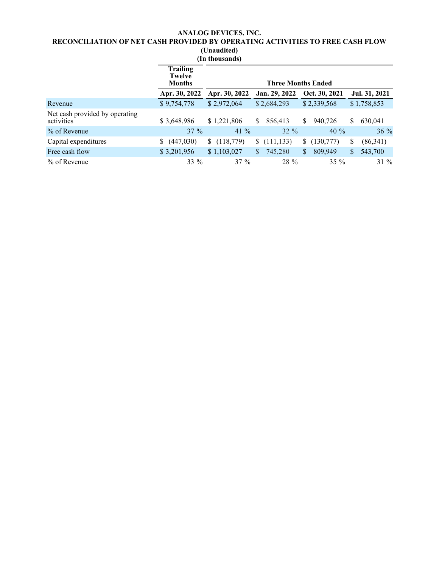#### **ANALOG DEVICES, INC. RECONCILIATION OF NET CASH PROVIDED BY OPERATING ACTIVITIES TO FREE CASH FLOW (Unaudited)**

|                                              |                                                   | (In thousands)  |                           |                            |                |
|----------------------------------------------|---------------------------------------------------|-----------------|---------------------------|----------------------------|----------------|
|                                              | <b>Trailing</b><br><b>Twelve</b><br><b>Months</b> |                 | <b>Three Months Ended</b> |                            |                |
|                                              | Apr. 30, 2022                                     | Apr. 30, 2022   | Jan. 29, 2022             | Oct. 30, 2021              | Jul. 31, 2021  |
| Revenue                                      | \$9,754,778                                       | \$2,972,064     | \$2,684,293               | \$2,339,568                | \$1,758,853    |
| Net cash provided by operating<br>activities | \$3,648,986                                       | \$1,221,806     | S<br>856,413              | S.<br>940,726              | 630,041<br>S.  |
| % of Revenue                                 | $37 \%$                                           | 41 %            | $32\%$                    | 40 $%$                     | $36\%$         |
| Capital expenditures                         | (447, 030)<br>\$                                  | (118,779)<br>S. | (111, 133)<br>S.          | (130,777)<br><sup>\$</sup> | \$<br>(86,341) |
| Free cash flow                               | \$3,201,956                                       | \$1,103,027     | 745,280<br>$\mathcal{S}$  | \$<br>809,949              | 543,700<br>\$  |
| % of Revenue                                 | $33\%$                                            | $37 \%$         | 28 %                      | 35 %                       | 31 %           |